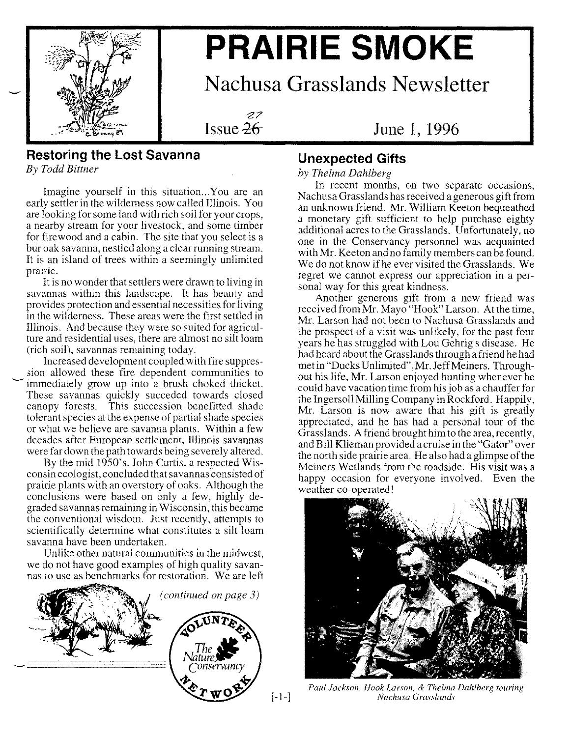

# **PRAIRIE SMOKE**

**Nachusa Grasslands Newsletter**

**Issue 26** 

### Issue Ze **June 1, 1996**

## **Restoring the Lost Savanna**

*By Todd Bittner*

Imagine yourself in this situation...You are an early settler in the wilderness now called Illinois. You are looking for some land with rich soil for your crops, a nearby stream for your livestock, and some timber for firewood and a cabin. The site that you select is a bur oak savanna, nestled along a clear running stream. It is an island of trees within a seemingly unlimited prame. .. .

It is no wonder that settlers were drawn to living in savannas within this landscape. It has beauty and provides protection and essential necessities for living in the wilderness. These areas were the first settled in Illinois. And because they were so suited for agriculture and residential uses, there are almost no silt loam (rich soil), savannas remaining today.. .

Increased development coupled with fire suppression allowed these fire dependent communities to immediately grow up into a brush choked thicket. These savannas quickly succeded towards closed canopy forests. This succession benefitted shade tolerant species at the expense of partial shade species or what we believe are savanna plants. Within a few decades after European settlement, Illinois savannas were far down the path towards being severely altered.

By the mid  $1950$ 's, John Curtis, a respected Wisconsin ecologist, concluded that savannas consisted of prairie plants with an overstory of oaks. Although the conclusions were based on only a few, highly degraded savannas remaining in Wisconsin, this became the conventional wisdom. Just recently, attempts to scientifically determine what constitutes a silt loam savanna have been undertaken.

Unlike other natural communities in the midwest, we do not have good examples of high quality savannas to use as benchmarks for restoration. We are left



## **Unexpected Gifts**

### *by Thelma Dahlberg .*

In recent months, on two separate occasions, Nachusa Grasslands has received a generous gift from an unknown friend. Mr. William Keeton bequeathed a monetary gift sufficient to help purchase eighty additional acres to the Grasslands. Unfortunately, no one in the Conservancy personnel was acquainted with Mr. Keeton and no family members can be found. We do not know if he ever visited the Grasslands. We regret we cannot express our appreciation in a personal way for this great kindness.

Another generous gift from a new friend was received from Mr. Mayo "Hook" Larson. At the time, Mr. Larson had not been to Nachusa Grasslands and the prospect of a visit was unlikely, for the past four years he has struggled with Lou Gehrig's disease. He had heard about the Grasslands through a friend he had met in "Ducks Unlimited",Mr.JeffMeiners. Throughout his life, Mr. Larson enjoyed hunting whenever he could have vacation time from his job as a chauffer for the Ingersoll Milling Company in Rockford. Happily, Mr. Larson is now aware that his gift is greatly appreciated, and he has had a personal tour of the Grasslands. A friend brought him to the area, recently, and Bill Klieman provided a cruise in the "Gator" over the north side prairie area. He also had a glimpse of the Meiners Wetlands from the roadside. His visit was a happy occasion for everyone involved. Even the weather co-operated!



*Paul Jackson, Hook Larson,* & *Thelma Dahlberg touring [-1-] Nachusa Grasslands*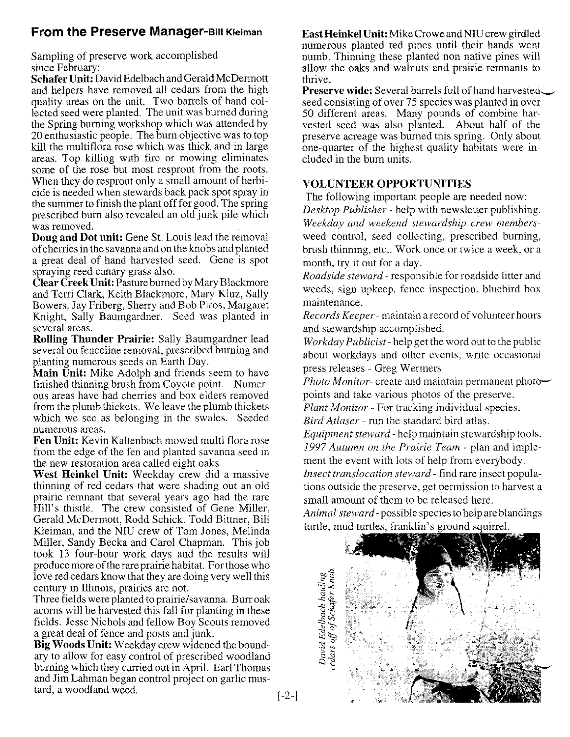#### **From the Preserve Manager-Bill Kleiman**

Sampling of preserve work accomplished since February:

**Schafer Unit:** David Edelbach and Gerald McDermott and helpers have removed all cedars from the high quality areas on the unit. Two barrels of hand collected seed were planted. The unit was burned during the Spring burning workshop which was attended by 20 enthusiastic people. The burn objective was to top kill the multiflora rose which was thick and in large areas. Top killing with fire or mowing eliminates some of the rose but most resprout from the roots. When they do resprout only a small amount of herbicide is needed when stewards back pack spot spray in the summer to finish the plant off for good. The spring prescribed burn also revealed an old junk pile which was removed.

**Doug and Dot unit:** Gene St. Louis lead the removal of cherries in the savanna and on the knobs and planted a great deal of hand harvested seed. Gene is spot spraying reed canary grass also.

**Clear Creek Unit:** Pasture burned by Mary Blackmore and Terri Clark, Keith Blackmore, Mary Kluz, Sally Bowers, Jay Friberg, Sherry and Bob Piros, Margaret Knight, Sally Baumgardner. Seed was planted in several areas.

**Rolling Thunder Prairie:** Sally Baumgardner lead several on fenceline removal, prescribed burning and planting numerous seeds on Earth Day.

**Main Unit:** Mike Adolph and friends seem to have finished thinning brush from Coyote point. Numerous areas have had cherries and box elders removed from the plumb thickets. We leave the plumb thickets which we see as belonging in the swales. Seeded numerous areas.

**Fen Unit:** Kevin Kaltenbach mowed multi flora rose from the edge of the fen and planted savanna seed in the new restoration area called eight oaks.

**West Heinkel Unit:** Weekday crew did a massive thinning of red cedars that were shading out an old prairie remnant that several years ago had the rare Hill's thistle. The crew consisted of Gene Miller, Gerald McDermott, Rodd Schick, Todd Bittner, Bill Kleiman, and the NIU crew of Tom Jones, Melinda Miller, Sandy Becka and Carol Chapman. This job took 13 four-hour work days and the results will produce more of the rare prairie habitat. For those who love red cedars know that they are doing very well this century in Illinois, prairies are not.

Three fields were planted to prairie/savanna. Burr oak acorns will be harvested this fall for planting in these fields. Jesse Nichols and fellow Boy Scouts removed a great deal of fence and posts and junk.

**Big Woods Unit:** Weekday crew widened the boundary to allow for easy control of prescribed woodland burning which they carried out in April. Earl Thomas and Jim Lahman began control project on garlic mustard, a woodland weed.

**East Heinkel Unit:** Mike Crowe and NIU crew girdled numerous planted red pines until their hands went numb. Thinning these planted non native pines will allow the oaks and walnuts and prairie remnants to thrive.

**Preserve wide:** Several barrels full of hand harvested. seed consisting of over 75 species was planted in over 50 different areas. Many pounds of combine harvested seed was also planted. About half of the preserve acreage was burned this spring. Only about one-quarter of the highest quality habitats were included in the burn units.

#### **VOLUNTEER OPPORTUNITIES**

The following important people are needed now: *Desktop Publisher -* help with newsletter publishing. *Weekday and weekend stewardship crew members*weed control, seed collecting, prescribed burning, brush thinning, etc.. Work once or twice a week, or a month, try it out for a day.

*Roadside steward -* responsible for roadside litter and weeds, sign upkeep, fence inspection, bluebird box maintenance.

*Records Keeper-* maintain a record of volunteer hours and stewardship accomplished.

*Workday Publicist -* help get the word out to the public about workdays and other events, write occasional press releases - Greg Wermers

*Photo Monitor-* create and maintain permanent photopoints and take various photos of the preserve.

*Plant Monitor -* For tracking individual species.

*Bird Atlaser -* run the standard bird atlas.

*Equipment steward -* help maintain stewardship tools. *1997 Autumn on the Prairie Team -* plan and implement the event with lots of help from everybody. *Insect translocation steward -* find rare insect popula-

tions outside the preserve, get permission to harvest a small amount of them to be released here.

*Animal steward -* possible species to help are blandings turtle, mud turtles, franklin's ground squirrel.



[-2-]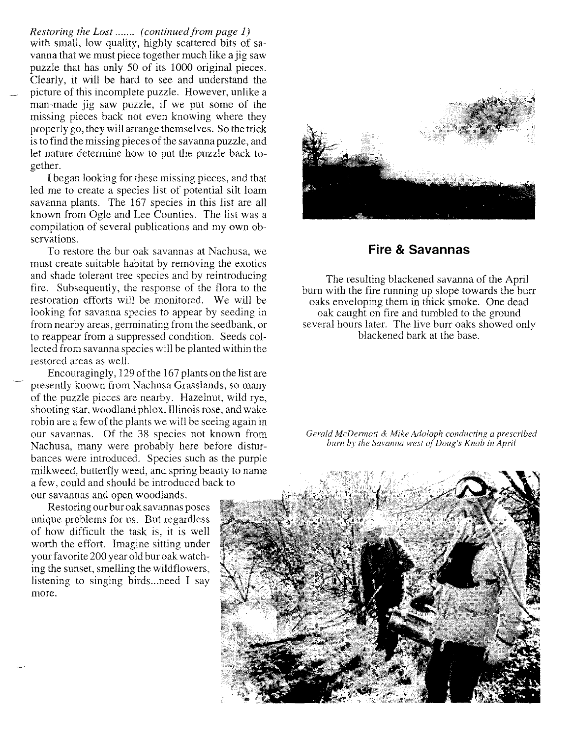*Restoring the Lost (continued from page* 1) with small, low quality, highly scattered bits of savanna that we must piece together much like a jig saw puzzle that has only 50 of its 1000 original pieces. Clearly, it will be hard to see and understand the picture of this incomplete puzzle. However, unlike a man-made jig saw puzzle, if we put some of the missing pieces back not even knowing where they properly go, they will arrange themselves. So the trick is to find the missing pieces of the savanna puzzle, and let nature determine how to put the puzzle back together.

I began looking for these missing pieces, and that led me to create a species list of potential silt loam savanna plants. The 167 species in this list are all known from Ogle and Lee Counties. The list was a compilation of several publications and my own observations.

To restore the bur oak savannas at Nachusa, we must create suitable habitat by removing the exotics and shade tolerant tree species and by reintroducing fire. Subsequently, the response of the flora to the restoration efforts will be monitored. We will be looking for savanna species to appear by seeding in from nearby areas, germinating from the seedbank, or to reappear from a suppressed condition. Seeds collected from savanna species will be planted within the restored areas as well.

Encouragingly, 129 ofthe 167 plants on the list are presently known from Nachusa Grasslands, so many of the puzzle pieces are nearby. Hazelnut, wild rye, shooting star, woodland phlox, Illinois rose, and wake robin are a few of the plants we will be seeing again in our savannas. Of the 38 species not known from Nachusa, many were probably here before disturbances were introduced. Species such as the purple milkweed, butterfly weed, and spring beauty to name a few, could and should be introduced back to our savannas and open woodlands.

Restoring our bur oak savannas poses unique problems for us. But regardless of how difficult the task is, it is well worth the effort. Imagine sitting under your favorite 200 year old bur oak watching the sunset, smelling the wildflowers, listening to singing birds...need I say more.



#### **Fire & Savannas**

The resulting blackened savanna of the April burn with the fire running up slope towards the burr oaks enveloping them in thick smoke. One dead oak caught on fire and tumbled to the ground several hours later. The live burr oaks showed only blackened bark at the base.

*Gerald McDennott* & *Mike Adoloph conducting a prescribed burn by the Savanna west of Doug's Knob in April*

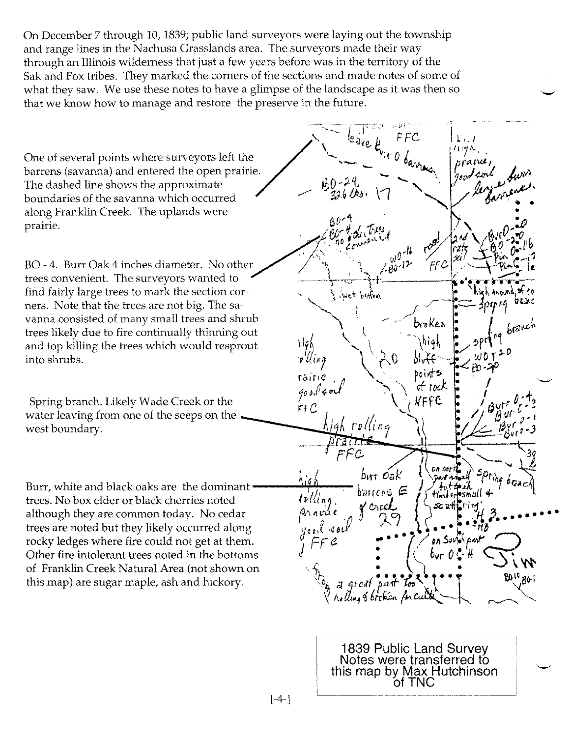On December 7 through 10, 1839; public land surveyors were laying out the township and range lines in the Nachusa Grasslands area. The surveyors made their way through an Illinois wilderness that just a few years before was in the territory of the Sak and Fox tribes. They marked the corners of the sections and made notes of some of what they saw. We use these notes to have a glimpse of the landscape as it was then so through an illinois wilderness that just a lew years before was in the territory of the<br>Sak and Fox tribes. They marked the corners of the sections and made notes of some of<br>what they saw. We use these notes to have a glim

One of several points where surveyors left the barrens (savanna) and entered the open prairie. The dashed line shows the approximate boundaries of the savanna which occurred along Franklin Creek. The uplands were prairie.

trees convenient. The surveyors wanted to. find fairly large trees to mark the section cor-  $\cdot$  ,  $\cdot$  is the blown ners. Note that the trees are not big. The saand top killing the trees which would resprout  $\overrightarrow{146}$  \\  $\overrightarrow{20}$   $\overrightarrow{146}$  into shrubs.

Spring branch. Likely Wade Creek or the water leaving from one of the seeps on the west boundary.

Burr, white and black oaks are the dominant trees. No box elder or black cherries noted although they are common today. No cedar  $t$ rees are noted but they likely occurred along rocky ledges where fire could not get at them.<br>Other fire intolerant trees noted in the bottoms  $\int_{0}^{a} \mathbf{F} \mathbf{F} \cdot d\mathbf{F} \cdot d\mathbf{F} \cdot d\mathbf{F} \cdot d\mathbf{F} \cdot d\mathbf{F} \cdot d\mathbf{F} \cdot d\mathbf{F} \cdot d\mathbf{F} \cdot d\mathbf{F} \cdot d\mathbf{F} \cdot d\mathbf{F} \cdot d\math$ Other fire intolerant trees noted in the bottoms



1839 Public Land Survey Notes were transferred to this map by Max Hutchinson ofTNC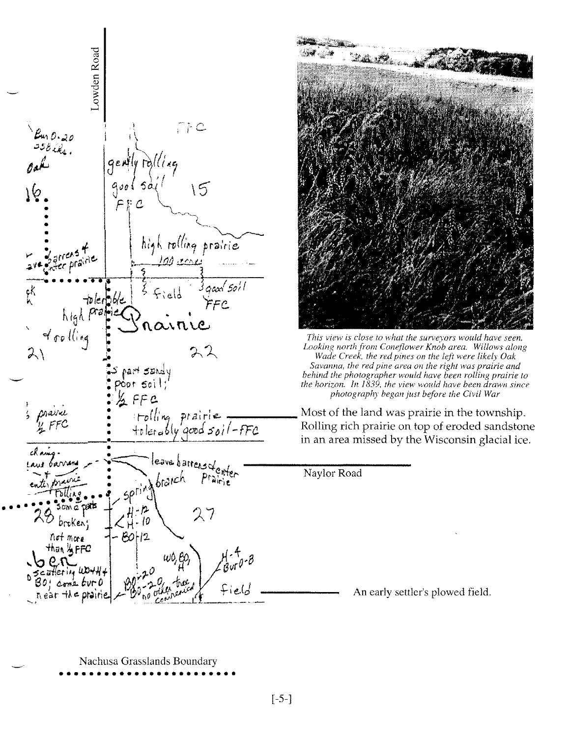



*This view is close to what the surveyors would have seen. Looking north from Coneflower Knob area. Willows along Wade Creek, the red pines on the left were likely Oak Savanna, the red pine area on the right was prairie and behind the photographer would have been rolling prairie to the horizon. In 1839, the view would have been drawn since photography began just before the Civil War*

Most of the land was prairie in the township. Rolling rich prairie on top of eroded sandstone in an area missed by the Wisconsin glacial ice.

Naylor Road

An early settler's plowed field.

Nachusa Grasslands Boundary ••••••••••••••••••••••••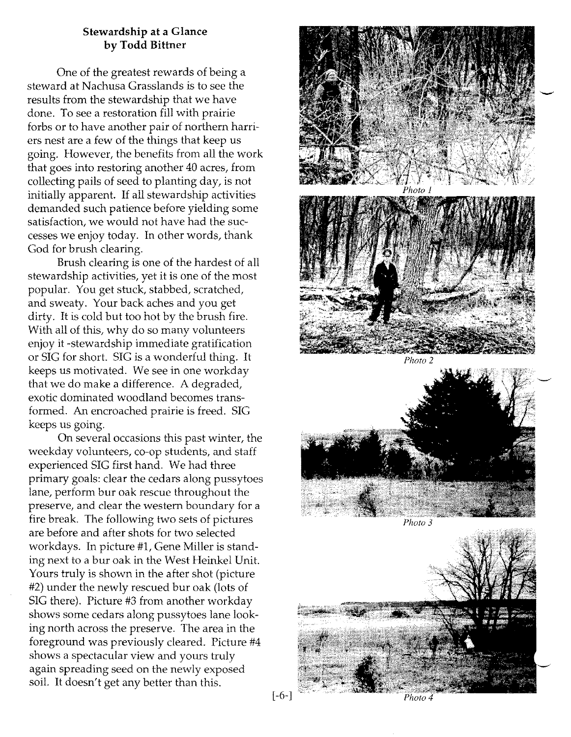#### **Stewardship at a Glance by Todd Bittner**

One of the greatest rewards of being a steward at Nachusa Crasslands is to see the results from the stewardship that we have done. To see a restoration fill with prairie forbs or to have another pair of northern harriers nest are a few of the things that keep us going. However, the benefits from all the work that goes into restoring another 40 acres, from collecting pails of seed to planting day, is not initially apparent. If all stewardship activities demanded such patience before yielding some satisfaction, we would not have had the successes we enjoy today. In other words, thank Cod for brush clearing.

Brush clearing is one of the hardest of all stewardship activities, yet it is one of the most popular. You get stuck, stabbed, scratched, and sweaty. Your back aches and you get dirty. It is cold but too hot by the brush fire. With all of this, why do so many volunteers enjoy it -stewardship immediate gratification or SIC for short. SIC is a wonderful thing. It keeps us motivated. We see in one workday that we do make a difference. A degraded, exotic dominated woodland becomes transformed. An encroached prairie is freed. SIC keeps us going.

On several occasions this past winter, the weekday volunteers, co-op students, and staff experienced SIC first hand. We had three primary goals: clear the cedars along pussytoes lane, perform bur oak rescue throughout the preserve, and clear the western boundary for a fire break. The following two sets of pictures are before and after shots for two selected workdays. In picture #1, Cene Miller is standing next to a bur oak in the West Heinkel Unit. Yours truly is shown in the after shot (picture #2) under the newly rescued bur oak (lots of SIC there). Picture #3 from another workday shows some cedars along pussytoes lane looking north across the preserve. The area in the foreground was previously cleared. Picture #4 shows a spectacular view and yours truly again spreading seed on the newly exposed soil. It doesn't get any better than this.





*Photo 2*



*Photo 3*



 $[-6-]$ 

Photo 4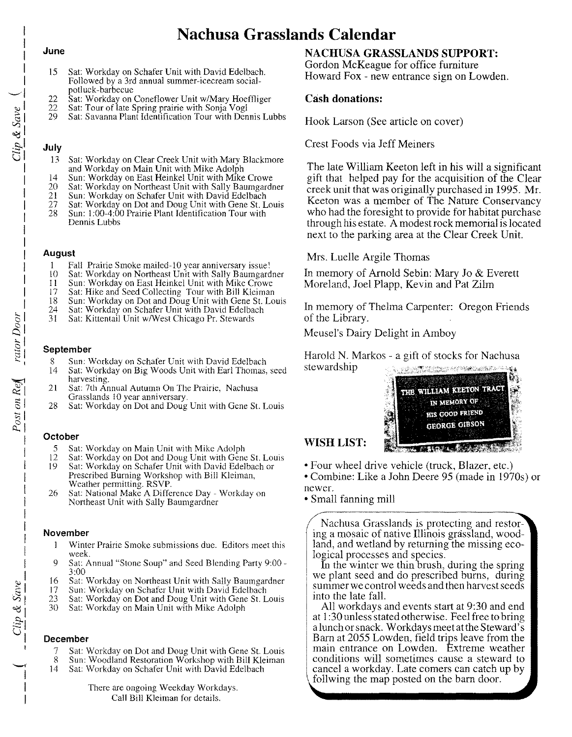## **Nachusa Grasslands Calendar**

#### **June**

I I I I I  $\overline{\phantom{a}}$ <:.)1  $\beta_1$ 

> eg<br>L  $\bar{\mathbb{C}}$  l I I I I I I н. μ. 1 l., 1 1

- 15 Sat: Workday on Schafer Unit with David Edelbach. Followed by a 3rd annual summer-icecream socialpotluck-barbecue
- 22 Sat: Workday on Coneflower Unit w/Mary Hoeffliger<br>22 Sat: Tour of late Spring prairie with Sonja Vogl
- 22 Sat: Tour of late Spring prairie with Sonja Vogl<br>29 Sat: Savanna Plant Identification Tour with Den
- Sat: Savanna Plant Identification Tour with Dennis Lubbs

#### **July**

- 13 Sat: Workday on Clear Creek Unit with Mary Blackmore and Workday on Main Unit with Mike Adolph
- 
- 14 Sun: Workday on East Heinkel Unit with Mike Crowe 20 Sat: Workday on Northeast Unit with Sally Baumgardne
- 21 Sun: Workday on Schafer Unit with David Edelbach
- 21 Sun: Workday on Schafer Unit with David Edelbach<br>27 Sat: Workday on Dot and Doug Unit with Gene St. Louis<br>28 Sun: 1:00-4:00 Prairie Plant Identification Tour with
- 28 Sun: 1:00-4:00 Prairie Plant Identification Tour with Dennis Lubbs

#### **August**

- 1 Fall Prairie Smoke mai1ed-1O year anniversary issue!
- 10 Sat: Workday on Northeast Unit with Sally Baumgardner<br>11 Sun: Workday on East Heinkel Unit with Mike Crowe
- 11 Sun: Workday on East Heinkel Unit with Mike Crowe<br>17 Sat: Hike and Seed Collecting Tour with Bill Kleiman
- 17 Sat: Hike and Seed Collecting Tour with Bill Kleiman
- 18 Sun: Workday on Dot and Doug Unit with Gene St. Louis<br>24 Sat: Workday on Schafer Unit with David Edelbach
- 24 Sat: Workday on Schafer Unit with David Edelbach<br>31 Sat: Kittentail Unit w/West Chicago Pr. Stewards
- Sat: Kittentail Unit w/West Chicago Pr. Stewards

#### **September**

- 8 Sun: Workday on Schafer Unit with David Edelbach<br>14 Sat: Workday on Big Woods Unit with Earl Thomas.
- Sat: Workday on Big Woods Unit with Earl Thomas, seed harvesting.
- 21 Sat: 7th Annual Autumn On The Prairie, Nachusa Grasslands 10 year anniversary.
- 28 Sat: Workday on Dot and Doug Unit with Gene St. Louis

#### **October**

- 5 Sat: Workday on Main Unit with Mike Adolph
- 12 Sat: Workday on Dot and Doug Unit with Gene St. Louis 19 Sat: Workday on Schafer Unit with David Edelbach or Sat: Workday on Schafer Unit with David Edelbach or Prescribed Burning Workshop with Bill Kleiman, Weather permitting. RSVP.
- 26 Sat: National Make A Difference Day Workday on Northeast Unit with Sally Baumgardner

#### **November**

- 1 Winter Prairie Smoke submissions due. Editors meet this week.
- 9 Sat: Annual "Stone Soup" and Seed Blending Party 9:00 3:00
- 16 Sat: Workday on Northeast Unit with Sally Baumgardner
- 17 Sun: Workday on Schafer Unit with David Edelbach<br>23 Sat: Workday on Dot and Doug Unit with Gene St. L
- 23 Sat: Workday on Dot and Doug Unit with Gene St. Louis 30 Sat: Workday on Main Unit with Mike Adolph
- Sat: Workday on Main Unit with Mike Adolph

#### **December**

- 7 Sat: Workday on Dot and Doug Unit with Gene St. Louis
- 8 Sun: Woodland Restoration Workshop with Bill Kleiman 14 Sat: Workday on Schafer Unit with David Edelbach
- Sat: Workday on Schafer Unit with David Edelbach

There are ongoing Weekday Workdays. Call Bill Kleiman for details.

#### **NACHUSA GRASSLANDS SUPPORT:**

Gordon McKeague for office furniture Howard Fox - new entrance sign on Lowden.

#### **Cash donations:**

Hook Larson (See article on cover)

Crest Foods via Jeff Meiners

The late William Keeton left in his will a significant gift that helped pay for the acquisition of the Clear creek unit that was originally purchased in 1995. Mr. Keeton was a member of The Nature Conservancy who had the foresight to provide for habitat purchase through his estate. A modest rock memorial is located next to the parking area at the Clear Creek Unit.

#### Mrs. Luelle Argile Thomas

In memory of Arnold Sebin: Mary Jo & Everett Moreland, Joel Plapp, Kevin and Pat Zilm

In memory of Thelma Carpenter: Oregon Friends of the Library.

Meusel's Dairy Delight in Amboy

Harold N. Markos - a gift of stocks for Nachusa stewardship **REAL PROPERTY AND REAL** 



#### WISH LIST:

• Four wheel drive vehicle (truck, Blazer, etc.)

• Combine: Like a John Deere 95 (made in 1970s) or newer.

• Small fanning mill

Nachusa Grasslands is protecting and restoring a mosaic of native Illinois grassland, woodland, and wetland by returning the missing ecological processes and species.

In the winter we thin brush, during the spring we plant seed and do prescribed bums, during summer we control weeds and then harvest seeds into the late fall.

All workdays and events start at 9:30 and end at 1:30 unless stated otherwise. Feel free to bring a lunch or snack. Workdays meet at the Steward's Barn at 2055 Lowden, field trips leave from the main entrance on Lowden. Extreme weather conditions will sometimes cause a steward to cancel a workday. Late comers can catch up by follwing the map posted on the barn door.

ै।  $\frac{\breve{\rhd}}{\rightharpoonup}$  $\frac{1}{10}$ 

 $Re$  $\frac{31}{2}$  $\frac{1}{2}$  $\sim$  1

I 1 1 I 1 1 I  $\ddot{\phantom{1}}$ 1

1 1 I

 $\frac{e}{\omega}$  $\sim$ "C  $\tilde{c}$